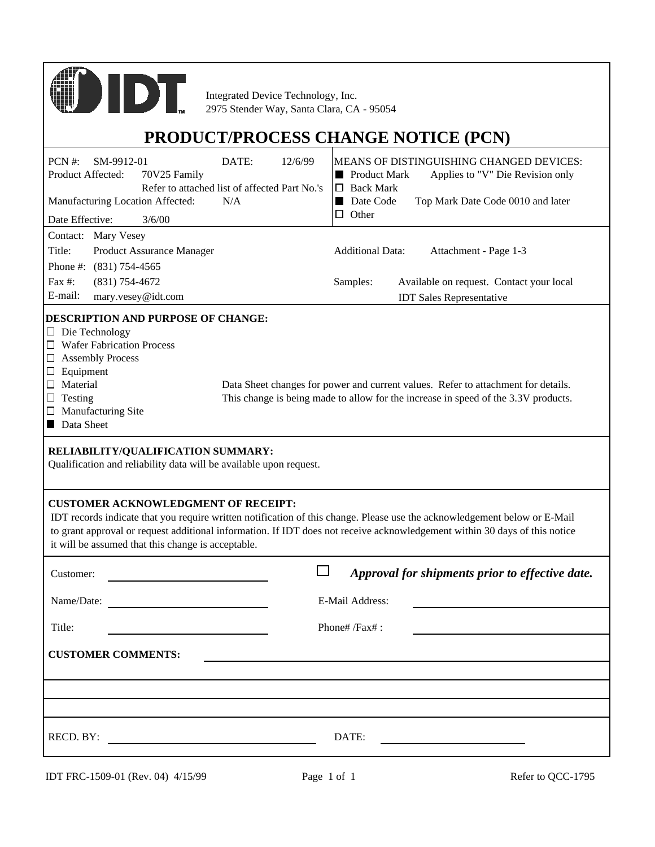

Integrated Device Technology, Inc. 2975 Stender Way, Santa Clara, CA - 95054

# **PRODUCT/PROCESS CHANGE NOTICE (PCN)**

| PCN #:<br>SM-9912-01<br>Product Affected:<br>70V25 Family<br>Manufacturing Location Affected:<br>Date Effective:<br>3/6/00<br>Contact: Mary Vesey<br>Title:<br>Product Assurance Manager<br>Phone #: (831) 754-4565<br>Fax #:<br>$(831)$ 754-4672                                                                                                                                                                                               | DATE:<br>12/6/99<br>Refer to attached list of affected Part No.'s<br>N/A | MEANS OF DISTINGUISHING CHANGED DEVICES:<br><b>Product Mark</b><br>Applies to "V" Die Revision only<br><b>Back Mark</b><br>$\Box$<br>Date Code<br>Top Mark Date Code 0010 and later<br>a an<br>Other<br>$\Box$<br><b>Additional Data:</b><br>Attachment - Page 1-3<br>Samples:<br>Available on request. Contact your local |  |  |  |
|-------------------------------------------------------------------------------------------------------------------------------------------------------------------------------------------------------------------------------------------------------------------------------------------------------------------------------------------------------------------------------------------------------------------------------------------------|--------------------------------------------------------------------------|----------------------------------------------------------------------------------------------------------------------------------------------------------------------------------------------------------------------------------------------------------------------------------------------------------------------------|--|--|--|
| E-mail:<br>mary.vesey@idt.com                                                                                                                                                                                                                                                                                                                                                                                                                   |                                                                          | <b>IDT</b> Sales Representative                                                                                                                                                                                                                                                                                            |  |  |  |
| DESCRIPTION AND PURPOSE OF CHANGE:<br>$\Box$ Die Technology<br>$\Box$ Wafer Fabrication Process<br>$\Box$ Assembly Process<br>$\Box$ Equipment<br>$\Box$ Material<br>Data Sheet changes for power and current values. Refer to attachment for details.<br>$\Box$ Testing<br>This change is being made to allow for the increase in speed of the 3.3V products.<br>$\Box$ Manufacturing Site<br>Data Sheet<br>RELIABILITY/QUALIFICATION SUMMARY: |                                                                          |                                                                                                                                                                                                                                                                                                                            |  |  |  |
| Qualification and reliability data will be available upon request.                                                                                                                                                                                                                                                                                                                                                                              |                                                                          |                                                                                                                                                                                                                                                                                                                            |  |  |  |
| <b>CUSTOMER ACKNOWLEDGMENT OF RECEIPT:</b><br>IDT records indicate that you require written notification of this change. Please use the acknowledgement below or E-Mail<br>to grant approval or request additional information. If IDT does not receive acknowledgement within 30 days of this notice<br>it will be assumed that this change is acceptable.                                                                                     |                                                                          |                                                                                                                                                                                                                                                                                                                            |  |  |  |
| Customer:                                                                                                                                                                                                                                                                                                                                                                                                                                       | $\mathbf{I}$                                                             | Approval for shipments prior to effective date.                                                                                                                                                                                                                                                                            |  |  |  |
| Name/Date:                                                                                                                                                                                                                                                                                                                                                                                                                                      |                                                                          | E-Mail Address:                                                                                                                                                                                                                                                                                                            |  |  |  |
| Title:                                                                                                                                                                                                                                                                                                                                                                                                                                          |                                                                          | Phone# /Fax#:                                                                                                                                                                                                                                                                                                              |  |  |  |
| <b>CUSTOMER COMMENTS:</b>                                                                                                                                                                                                                                                                                                                                                                                                                       |                                                                          |                                                                                                                                                                                                                                                                                                                            |  |  |  |
|                                                                                                                                                                                                                                                                                                                                                                                                                                                 |                                                                          |                                                                                                                                                                                                                                                                                                                            |  |  |  |
|                                                                                                                                                                                                                                                                                                                                                                                                                                                 |                                                                          |                                                                                                                                                                                                                                                                                                                            |  |  |  |
| RECD. BY:                                                                                                                                                                                                                                                                                                                                                                                                                                       |                                                                          | DATE:                                                                                                                                                                                                                                                                                                                      |  |  |  |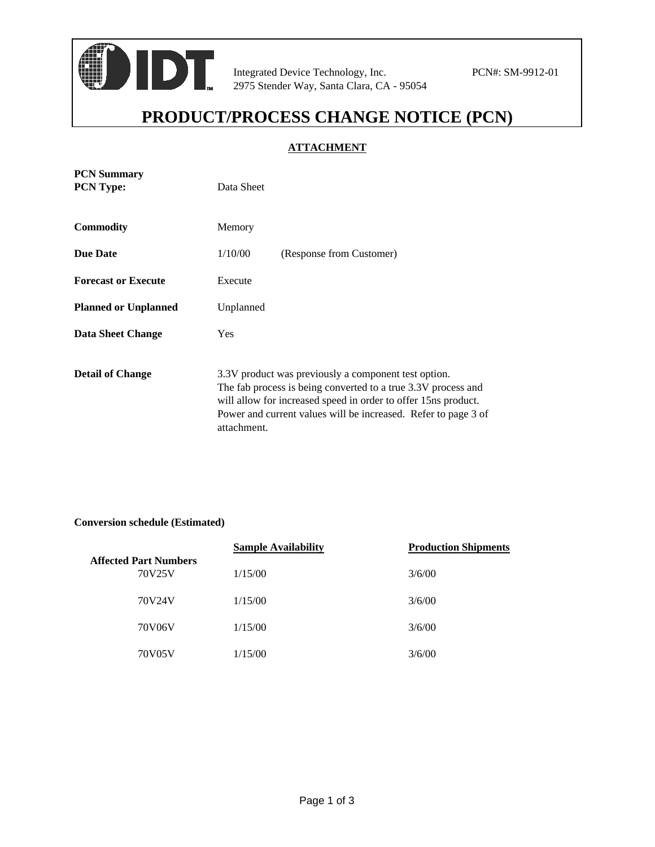

**PCN Summary**

Integrated Device Technology, Inc. PCN#: SM-9912-01 2975 Stender Way, Santa Clara, CA - 95054

## **PRODUCT/PROCESS CHANGE NOTICE (PCN)**

### **ATTACHMENT**

| <b>PCN Type:</b>            | Data Sheet                                                                                                                                                                                                                                                                |  |  |  |
|-----------------------------|---------------------------------------------------------------------------------------------------------------------------------------------------------------------------------------------------------------------------------------------------------------------------|--|--|--|
| <b>Commodity</b>            | Memory                                                                                                                                                                                                                                                                    |  |  |  |
| <b>Due Date</b>             | 1/10/00<br>(Response from Customer)                                                                                                                                                                                                                                       |  |  |  |
| <b>Forecast or Execute</b>  | Execute                                                                                                                                                                                                                                                                   |  |  |  |
| <b>Planned or Unplanned</b> | Unplanned                                                                                                                                                                                                                                                                 |  |  |  |
| Data Sheet Change           | <b>Yes</b>                                                                                                                                                                                                                                                                |  |  |  |
| <b>Detail of Change</b>     | 3.3V product was previously a component test option.<br>The fab process is being converted to a true 3.3V process and<br>will allow for increased speed in order to offer 15 ns product.<br>Power and current values will be increased. Refer to page 3 of<br>attachment. |  |  |  |

#### **Conversion schedule (Estimated)**

|                                        | <b>Sample Availability</b> | <b>Production Shipments</b> |  |  |
|----------------------------------------|----------------------------|-----------------------------|--|--|
| <b>Affected Part Numbers</b><br>70V25V | 1/15/00                    | 3/6/00                      |  |  |
| 70V24V                                 | 1/15/00                    | 3/6/00                      |  |  |
| 70V06V                                 | 1/15/00                    | 3/6/00                      |  |  |
| 70V05V                                 | 1/15/00                    | 3/6/00                      |  |  |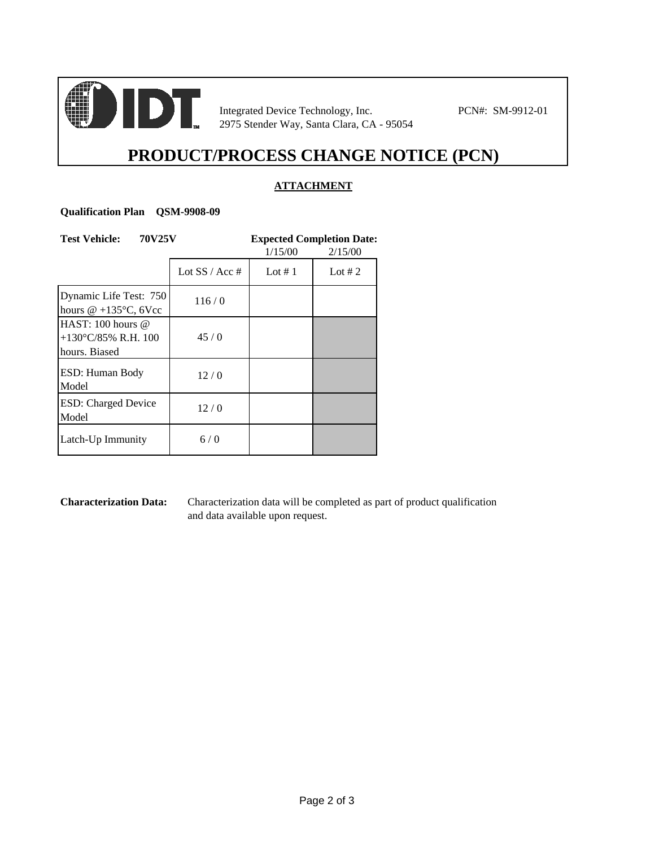

Integrated Device Technology, Inc. PCN#: SM-9912-01 2975 Stender Way, Santa Clara, CA - 95054

# **PRODUCT/PROCESS CHANGE NOTICE (PCN)**

## **ATTACHMENT**

#### **Qualification Plan QSM-9908-09**

| 70V25V<br><b>Test Vehicle:</b>                                      | <b>Expected Completion Date:</b> |         |         |  |
|---------------------------------------------------------------------|----------------------------------|---------|---------|--|
|                                                                     |                                  | 1/15/00 | 2/15/00 |  |
|                                                                     | Lot SS / Acc #                   | Lot #1  | Lot #2  |  |
| Dynamic Life Test: 750<br>hours $@ + 135°C$ , 6Vcc                  | 116/0                            |         |         |  |
| HAST: 100 hours @<br>$+130^{\circ}$ C/85% R.H. 100<br>hours. Biased | 45/0                             |         |         |  |
| <b>ESD: Human Body</b><br>Model                                     | 12/0                             |         |         |  |
| <b>ESD:</b> Charged Device<br>Model                                 | 12/0                             |         |         |  |
| Latch-Up Immunity                                                   | 6/0                              |         |         |  |

**Characterization Data:** Characterization data will be completed as part of product qualification and data available upon request.